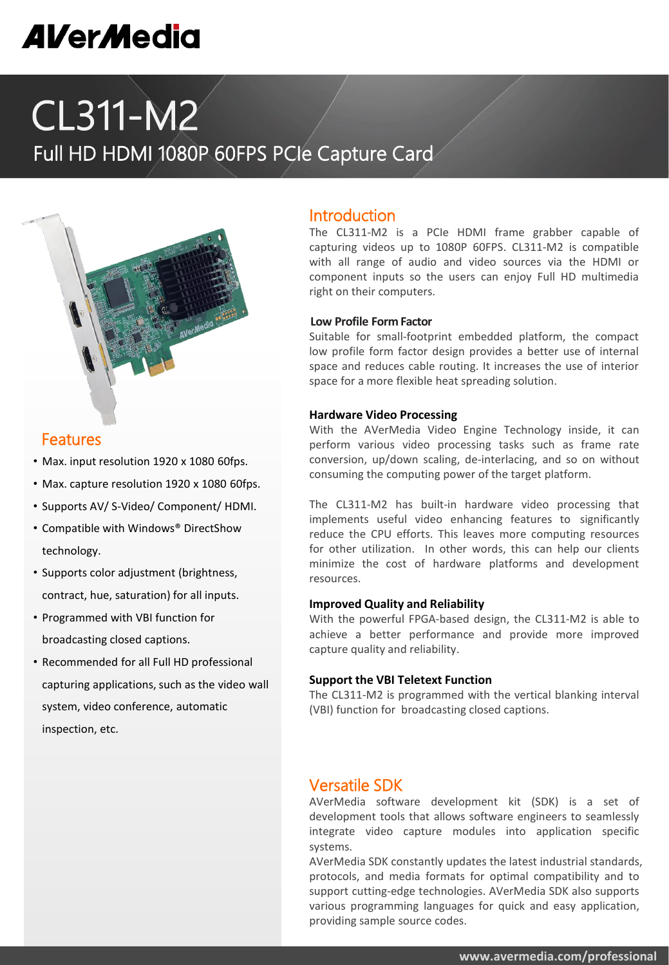# **AVerMedia**

# CL311-M2

# Full HD HDMI 1080P 60FPS PCIe Capture Card



#### Features

- Max. input resolution 1920 x 1080 60fps.
- Max. capture resolution 1920 x 1080 60fps.
- Supports AV/ S-Video/ Component/ HDMI.
- Compatible with Windows® DirectShow technology.
- Supports color adjustment (brightness, contract, hue, saturation) for all inputs.
- Programmed with VBI function for broadcasting closed captions.
- Recommended for all Full HD professional capturing applications, such as the video wall system, video conference, automatic inspection, etc.

#### Introduction

The CL311-M2 is a PCIe HDMI frame grabber capable of capturing videos up to 1080P 60FPS. CL311-M2 is compatible with all range of audio and video sources via the HDMI or component inputs so the users can enjoy Full HD multimedia right on their computers.

#### **Low Profile Form Factor**

Suitable for small-footprint embedded platform, the compact low profile form factor design provides a better use of internal space and reduces cable routing. It increases the use of interior space for a more flexible heat spreading solution.

#### **Hardware Video Processing**

With the AVerMedia Video Engine Technology inside, it can perform various video processing tasks such as frame rate conversion, up/down scaling, de-interlacing, and so on without consuming the computing power of the target platform.

The CL311-M2 has built-in hardware video processing that implements useful video enhancing features to significantly reduce the CPU efforts. This leaves more computing resources for other utilization. In other words, this can help our clients minimize the cost of hardware platforms and development resources.

#### **Improved Quality and Reliability**

With the powerful FPGA-based design, the CL311-M2 is able to achieve a better performance and provide more improved capture quality and reliability.

#### **Support the VBI Teletext Function**

The CL311-M2 is programmed with the vertical blanking interval (VBI) function for broadcasting closed captions.

### Versatile SDK

AVerMedia software development kit (SDK) is a set of development tools that allows software engineers to seamlessly integrate video capture modules into application specific systems.

AVerMedia SDK constantly updates the latest industrial standards, protocols, and media formats for optimal compatibility and to support cutting-edge technologies. AVerMedia SDK also supports various programming languages for quick and easy application, providing sample source codes.